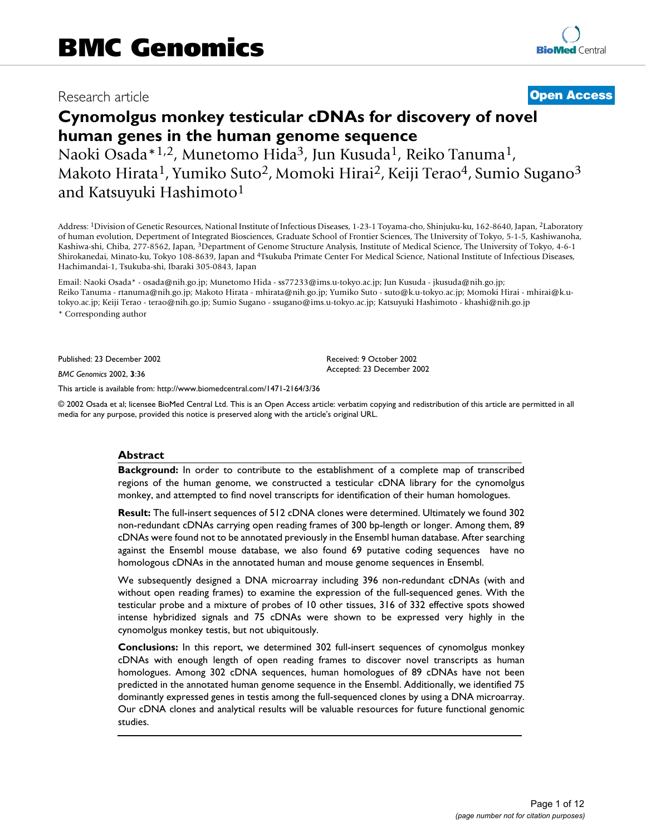# Research article **[Open Access](http://www.biomedcentral.com/info/about/charter/)**

# **Cynomolgus monkey testicular cDNAs for discovery of novel human genes in the human genome sequence**

Naoki Osada\*<sup>1,2</sup>, Munetomo Hida<sup>3</sup>, Jun Kusuda<sup>1</sup>, Reiko Tanuma<sup>1</sup>, Makoto Hirata<sup>1</sup>, Yumiko Suto<sup>2</sup>, Momoki Hirai<sup>2</sup>, Keiji Terao<sup>4</sup>, Sumio Sugano<sup>3</sup> and Katsuyuki Hashimoto<sup>1</sup>

Address: 1Division of Genetic Resources, National Institute of Infectious Diseases, 1-23-1 Toyama-cho, Shinjuku-ku, 162-8640, Japan, 2Laboratory of human evolution, Depertment of Integrated Biosciences, Graduate School of Frontier Sciences, The University of Tokyo, 5-1-5, Kashiwanoha, Kashiwa-shi, Chiba, 277-8562, Japan, 3Department of Genome Structure Analysis, Institute of Medical Science, The University of Tokyo, 4-6-1 Shirokanedai, Minato-ku, Tokyo 108-8639, Japan and 4Tsukuba Primate Center For Medical Science, National Institute of Infectious Diseases, Hachimandai-1, Tsukuba-shi, Ibaraki 305-0843, Japan

Email: Naoki Osada\* - osada@nih.go.jp; Munetomo Hida - ss77233@ims.u-tokyo.ac.jp; Jun Kusuda - jkusuda@nih.go.jp; Reiko Tanuma - rtanuma@nih.go.jp; Makoto Hirata - mhirata@nih.go.jp; Yumiko Suto - suto@k.u-tokyo.ac.jp; Momoki Hirai - mhirai@k.utokyo.ac.jp; Keiji Terao - terao@nih.go.jp; Sumio Sugano - ssugano@ims.u-tokyo.ac.jp; Katsuyuki Hashimoto - khashi@nih.go.jp \* Corresponding author

Published: 23 December 2002

*BMC Genomics* 2002, **3**:36

[This article is available from: http://www.biomedcentral.com/1471-2164/3/36](http://www.biomedcentral.com/1471-2164/3/36)

© 2002 Osada et al; licensee BioMed Central Ltd. This is an Open Access article: verbatim copying and redistribution of this article are permitted in all media for any purpose, provided this notice is preserved along with the article's original URL.

Received: 9 October 2002 Accepted: 23 December 2002

#### **Abstract**

**Background:** In order to contribute to the establishment of a complete map of transcribed regions of the human genome, we constructed a testicular cDNA library for the cynomolgus monkey, and attempted to find novel transcripts for identification of their human homologues.

**Result:** The full-insert sequences of 512 cDNA clones were determined. Ultimately we found 302 non-redundant cDNAs carrying open reading frames of 300 bp-length or longer. Among them, 89 cDNAs were found not to be annotated previously in the Ensembl human database. After searching against the Ensembl mouse database, we also found 69 putative coding sequences have no homologous cDNAs in the annotated human and mouse genome sequences in Ensembl.

We subsequently designed a DNA microarray including 396 non-redundant cDNAs (with and without open reading frames) to examine the expression of the full-sequenced genes. With the testicular probe and a mixture of probes of 10 other tissues, 316 of 332 effective spots showed intense hybridized signals and 75 cDNAs were shown to be expressed very highly in the cynomolgus monkey testis, but not ubiquitously.

**Conclusions:** In this report, we determined 302 full-insert sequences of cynomolgus monkey cDNAs with enough length of open reading frames to discover novel transcripts as human homologues. Among 302 cDNA sequences, human homologues of 89 cDNAs have not been predicted in the annotated human genome sequence in the Ensembl. Additionally, we identified 75 dominantly expressed genes in testis among the full-sequenced clones by using a DNA microarray. Our cDNA clones and analytical results will be valuable resources for future functional genomic studies.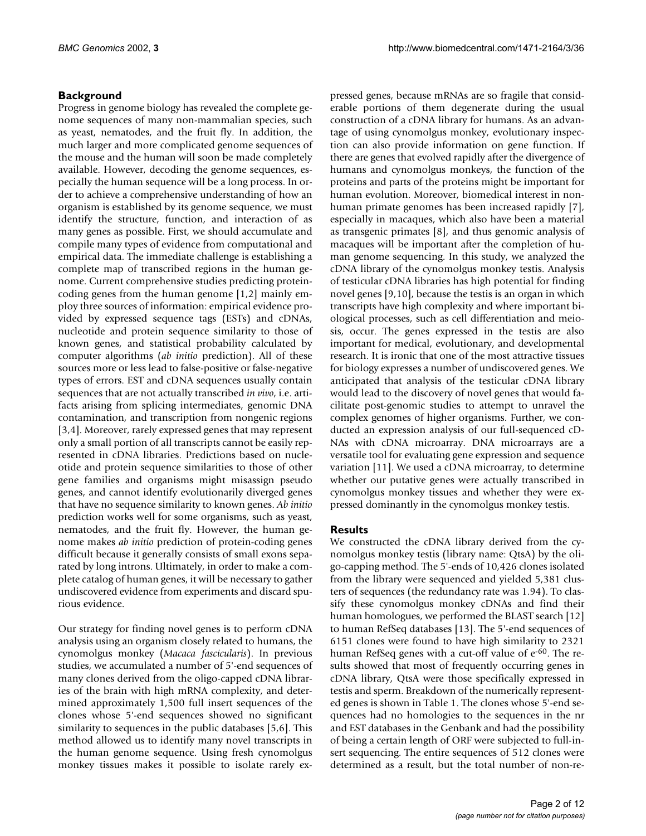# **Background**

Progress in genome biology has revealed the complete genome sequences of many non-mammalian species, such as yeast, nematodes, and the fruit fly. In addition, the much larger and more complicated genome sequences of the mouse and the human will soon be made completely available. However, decoding the genome sequences, especially the human sequence will be a long process. In order to achieve a comprehensive understanding of how an organism is established by its genome sequence, we must identify the structure, function, and interaction of as many genes as possible. First, we should accumulate and compile many types of evidence from computational and empirical data. The immediate challenge is establishing a complete map of transcribed regions in the human genome. Current comprehensive studies predicting proteincoding genes from the human genome [\[1,](#page-10-0)2] mainly employ three sources of information: empirical evidence provided by expressed sequence tags (ESTs) and cDNAs, nucleotide and protein sequence similarity to those of known genes, and statistical probability calculated by computer algorithms (*ab initio* prediction). All of these sources more or less lead to false-positive or false-negative types of errors. EST and cDNA sequences usually contain sequences that are not actually transcribed *in vivo*, i.e. artifacts arising from splicing intermediates, genomic DNA contamination, and transcription from nongenic regions [3,4]. Moreover, rarely expressed genes that may represent only a small portion of all transcripts cannot be easily represented in cDNA libraries. Predictions based on nucleotide and protein sequence similarities to those of other gene families and organisms might misassign pseudo genes, and cannot identify evolutionarily diverged genes that have no sequence similarity to known genes. *Ab initio* prediction works well for some organisms, such as yeast, nematodes, and the fruit fly. However, the human genome makes *ab initio* prediction of protein-coding genes difficult because it generally consists of small exons separated by long introns. Ultimately, in order to make a complete catalog of human genes, it will be necessary to gather undiscovered evidence from experiments and discard spurious evidence.

Our strategy for finding novel genes is to perform cDNA analysis using an organism closely related to humans, the cynomolgus monkey (*Macaca fascicularis*). In previous studies, we accumulated a number of 5'-end sequences of many clones derived from the oligo-capped cDNA libraries of the brain with high mRNA complexity, and determined approximately 1,500 full insert sequences of the clones whose 5'-end sequences showed no significant similarity to sequences in the public databases [5,6]. This method allowed us to identify many novel transcripts in the human genome sequence. Using fresh cynomolgus monkey tissues makes it possible to isolate rarely expressed genes, because mRNAs are so fragile that considerable portions of them degenerate during the usual construction of a cDNA library for humans. As an advantage of using cynomolgus monkey, evolutionary inspection can also provide information on gene function. If there are genes that evolved rapidly after the divergence of humans and cynomolgus monkeys, the function of the proteins and parts of the proteins might be important for human evolution. Moreover, biomedical interest in nonhuman primate genomes has been increased rapidly [7], especially in macaques, which also have been a material as transgenic primates [8], and thus genomic analysis of macaques will be important after the completion of human genome sequencing. In this study, we analyzed the cDNA library of the cynomolgus monkey testis. Analysis of testicular cDNA libraries has high potential for finding novel genes [9,10], because the testis is an organ in which transcripts have high complexity and where important biological processes, such as cell differentiation and meiosis, occur. The genes expressed in the testis are also important for medical, evolutionary, and developmental research. It is ironic that one of the most attractive tissues for biology expresses a number of undiscovered genes. We anticipated that analysis of the testicular cDNA library would lead to the discovery of novel genes that would facilitate post-genomic studies to attempt to unravel the complex genomes of higher organisms. Further, we conducted an expression analysis of our full-sequenced cD-NAs with cDNA microarray. DNA microarrays are a versatile tool for evaluating gene expression and sequence variation [11]. We used a cDNA microarray, to determine whether our putative genes were actually transcribed in cynomolgus monkey tissues and whether they were expressed dominantly in the cynomolgus monkey testis.

# **Results**

We constructed the cDNA library derived from the cynomolgus monkey testis (library name: QtsA) by the oligo-capping method. The 5'-ends of 10,426 clones isolated from the library were sequenced and yielded 5,381 clusters of sequences (the redundancy rate was 1.94). To classify these cynomolgus monkey cDNAs and find their human homologues, we performed the BLAST search [12] to human RefSeq databases [13]. The 5'-end sequences of 6151 clones were found to have high similarity to 2321 human RefSeq genes with a cut-off value of e-60. The results showed that most of frequently occurring genes in cDNA library, QtsA were those specifically expressed in testis and sperm. Breakdown of the numerically represented genes is shown in Table [1.](#page-2-0) The clones whose 5'-end sequences had no homologies to the sequences in the nr and EST databases in the Genbank and had the possibility of being a certain length of ORF were subjected to full-insert sequencing. The entire sequences of 512 clones were determined as a result, but the total number of non-re-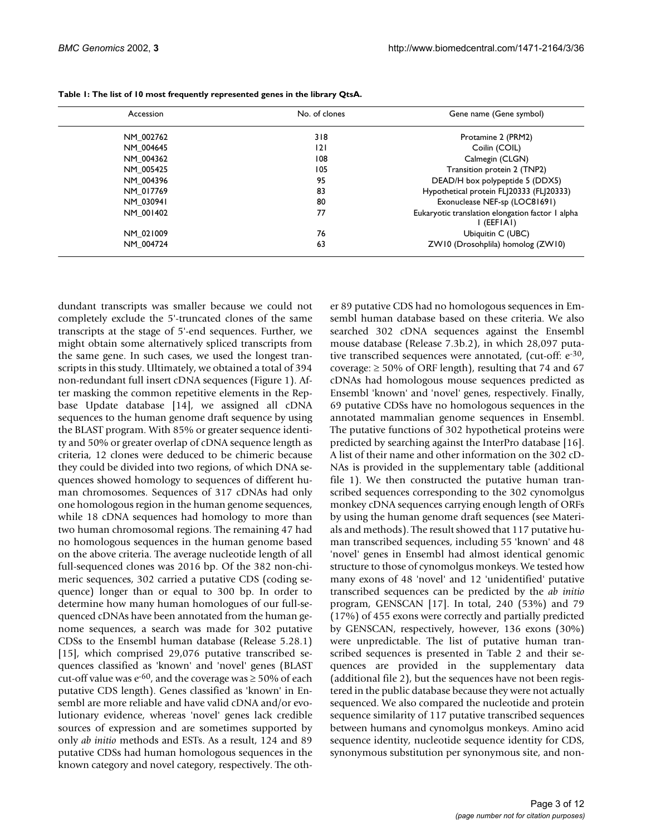| Accession | No. of clones | Gene name (Gene symbol)                                      |
|-----------|---------------|--------------------------------------------------------------|
| NM 002762 | 318           | Protamine 2 (PRM2)                                           |
| NM 004645 | 2             | Coilin (COIL)                                                |
| NM 004362 | 108           | Calmegin (CLGN)                                              |
| NM 005425 | 105           | Transition protein 2 (TNP2)                                  |
| NM 004396 | 95            | DEAD/H box polypeptide 5 (DDX5)                              |
| NM 017769 | 83            | Hypothetical protein FL[20333 (FL[20333)                     |
| NM 030941 | 80            | Exonuclease NEF-sp (LOC81691)                                |
| NM 001402 | 77            | Eukaryotic translation elongation factor 1 alpha<br>(EEFIAI) |
| NM 021009 | 76            | Ubiquitin C (UBC)                                            |
| NM 004724 | 63            | ZW10 (Drosohplila) homolog (ZW10)                            |

<span id="page-2-0"></span>

dundant transcripts was smaller because we could not completely exclude the 5'-truncated clones of the same transcripts at the stage of 5'-end sequences. Further, we might obtain some alternatively spliced transcripts from the same gene. In such cases, we used the longest transcripts in this study. Ultimately, we obtained a total of 394 non-redundant full insert cDNA sequences (Figure 1). After masking the common repetitive elements in the Repbase Update database [14], we assigned all cDNA sequences to the human genome draft sequence by using the BLAST program. With 85% or greater sequence identity and 50% or greater overlap of cDNA sequence length as criteria, 12 clones were deduced to be chimeric because they could be divided into two regions, of which DNA sequences showed homology to sequences of different human chromosomes. Sequences of 317 cDNAs had only one homologous region in the human genome sequences, while 18 cDNA sequences had homology to more than two human chromosomal regions. The remaining 47 had no homologous sequences in the human genome based on the above criteria. The average nucleotide length of all full-sequenced clones was 2016 bp. Of the 382 non-chimeric sequences, 302 carried a putative CDS (coding sequence) longer than or equal to 300 bp. In order to determine how many human homologues of our full-sequenced cDNAs have been annotated from the human genome sequences, a search was made for 302 putative CDSs to the Ensembl human database (Release 5.28.1) [15], which comprised 29,076 putative transcribed sequences classified as 'known' and 'novel' genes (BLAST cut-off value was  $e^{-60}$ , and the coverage was  $\geq 50\%$  of each putative CDS length). Genes classified as 'known' in Ensembl are more reliable and have valid cDNA and/or evolutionary evidence, whereas 'novel' genes lack credible sources of expression and are sometimes supported by only *ab initio* methods and ESTs. As a result, 124 and 89 putative CDSs had human homologous sequences in the known category and novel category, respectively. The other 89 putative CDS had no homologous sequences in Emsembl human database based on these criteria. We also searched 302 cDNA sequences against the Ensembl mouse database (Release 7.3b.2), in which 28,097 putative transcribed sequences were annotated, (cut-off: e-30, coverage:  $\geq 50\%$  of ORF length), resulting that 74 and 67 cDNAs had homologous mouse sequences predicted as Ensembl 'known' and 'novel' genes, respectively. Finally, 69 putative CDSs have no homologous sequences in the annotated mammalian genome sequences in Ensembl. The putative functions of 302 hypothetical proteins were predicted by searching against the InterPro database [16]. A list of their name and other information on the 302 cD-NAs is provided in the supplementary table (additional file 1). We then constructed the putative human transcribed sequences corresponding to the 302 cynomolgus monkey cDNA sequences carrying enough length of ORFs by using the human genome draft sequences (see Materials and methods). The result showed that 117 putative human transcribed sequences, including 55 'known' and 48 'novel' genes in Ensembl had almost identical genomic structure to those of cynomolgus monkeys. We tested how many exons of 48 'novel' and 12 'unidentified' putative transcribed sequences can be predicted by the *ab initio* program, GENSCAN [17]. In total, 240 (53%) and 79 (17%) of 455 exons were correctly and partially predicted by GENSCAN, respectively, however, 136 exons (30%) were unpredictable. The list of putative human transcribed sequences is presented in Table [2](#page-4-0) and their sequences are provided in the supplementary data (additional file 2), but the sequences have not been registered in the public database because they were not actually sequenced. We also compared the nucleotide and protein sequence similarity of 117 putative transcribed sequences between humans and cynomolgus monkeys. Amino acid sequence identity, nucleotide sequence identity for CDS, synonymous substitution per synonymous site, and non-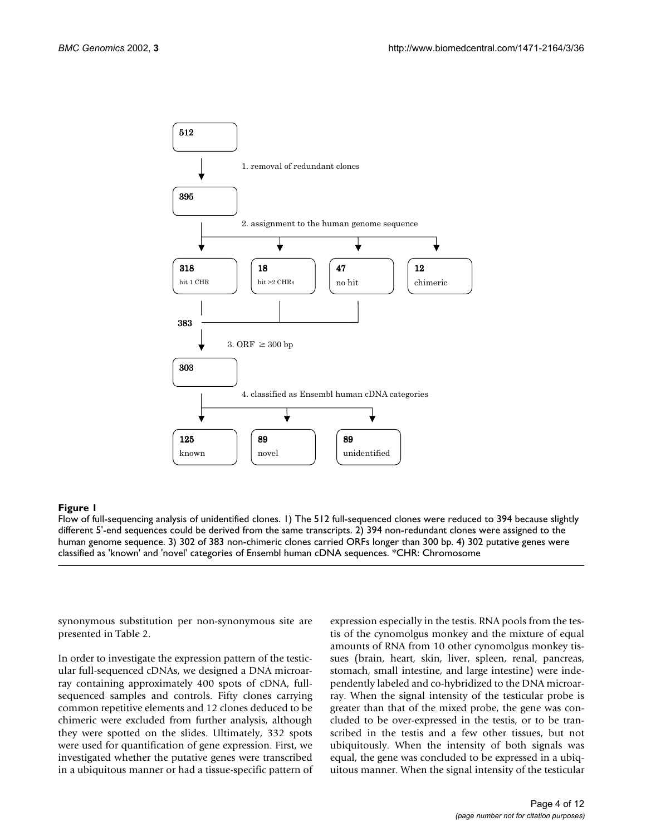

#### **Figure 1**

Flow of full-sequencing analysis of unidentified clones. 1) The 512 full-sequenced clones were reduced to 394 because slightly different 5'-end sequences could be derived from the same transcripts. 2) 394 non-redundant clones were assigned to the human genome sequence. 3) 302 of 383 non-chimeric clones carried ORFs longer than 300 bp. 4) 302 putative genes were classified as 'known' and 'novel' categories of Ensembl human cDNA sequences. \*CHR: Chromosome

synonymous substitution per non-synonymous site are presented in Table [2](#page-4-0).

In order to investigate the expression pattern of the testicular full-sequenced cDNAs, we designed a DNA microarray containing approximately 400 spots of cDNA, fullsequenced samples and controls. Fifty clones carrying common repetitive elements and 12 clones deduced to be chimeric were excluded from further analysis, although they were spotted on the slides. Ultimately, 332 spots were used for quantification of gene expression. First, we investigated whether the putative genes were transcribed in a ubiquitous manner or had a tissue-specific pattern of expression especially in the testis. RNA pools from the testis of the cynomolgus monkey and the mixture of equal amounts of RNA from 10 other cynomolgus monkey tissues (brain, heart, skin, liver, spleen, renal, pancreas, stomach, small intestine, and large intestine) were independently labeled and co-hybridized to the DNA microarray. When the signal intensity of the testicular probe is greater than that of the mixed probe, the gene was concluded to be over-expressed in the testis, or to be transcribed in the testis and a few other tissues, but not ubiquitously. When the intensity of both signals was equal, the gene was concluded to be expressed in a ubiquitous manner. When the signal intensity of the testicular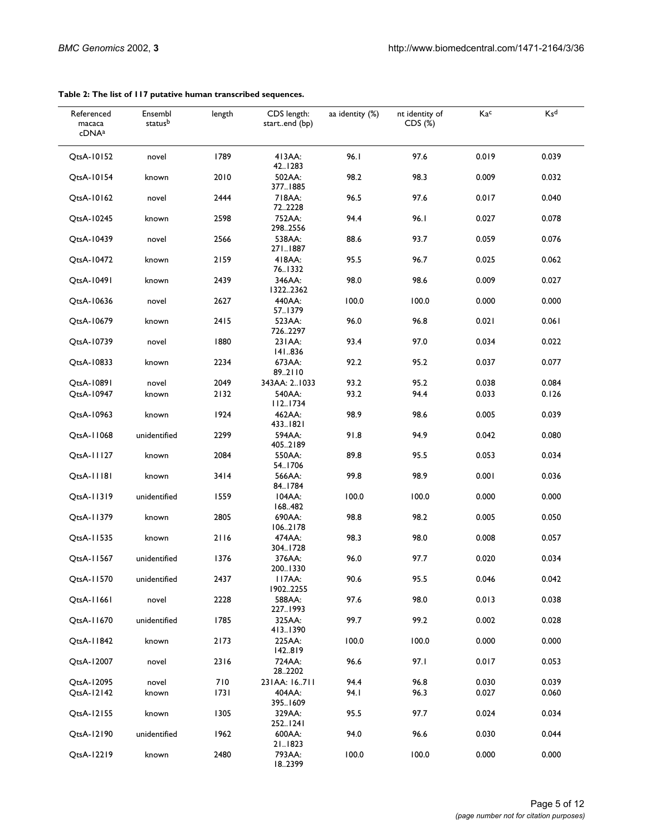| Referenced<br>macaca<br>cDNA <sup>a</sup> | Ensembl<br>statusb | length       | CDS length:<br>startend (bp) | aa identity (%) | nt identity of<br>CDS(%) | Kac            | Ksd            |
|-------------------------------------------|--------------------|--------------|------------------------------|-----------------|--------------------------|----------------|----------------|
| QtsA-10152                                | novel              | 1789         | 413AA:<br>42.1283            | 96.1            | 97.6                     | 0.019          | 0.039          |
| QtsA-10154                                | known              | 2010         | 502AA:<br>377.1885           | 98.2            | 98.3                     | 0.009          | 0.032          |
| QtsA-10162                                | novel              | 2444         | 718AA:<br>722228             | 96.5            | 97.6                     | 0.017          | 0.040          |
| QtsA-10245                                | known              | 2598         | 752AA:<br>2982556            | 94.4            | 96.1                     | 0.027          | 0.078          |
| QtsA-10439                                | novel              | 2566         | 538AA:<br>271.1887           | 88.6            | 93.7                     | 0.059          | 0.076          |
| QtsA-10472                                | known              | 2159         | 418AA:<br>76.1332            | 95.5            | 96.7                     | 0.025          | 0.062          |
| QtsA-10491                                | known              | 2439         | 346AA:<br>13222362           | 98.0            | 98.6                     | 0.009          | 0.027          |
| QtsA-10636                                | novel              | 2627         | 440AA:<br>57.1379            | 100.0           | 100.0                    | 0.000          | 0.000          |
| QtsA-10679                                | known              | 2415         | 523AA:<br>7262297            | 96.0            | 96.8                     | 0.021          | 0.061          |
| QtsA-10739                                | novel              | 1880         | 23 I AA:<br>141.836          | 93.4            | 97.0                     | 0.034          | 0.022          |
| QtsA-10833                                | known              | 2234         | 673AA:<br>89.2110            | 92.2            | 95.2                     | 0.037          | 0.077          |
| OtsA-10891<br>QtsA-10947                  | novel<br>known     | 2049<br>2132 | 343AA: 21033<br>540AA:       | 93.2<br>93.2    | 95.2<br>94.4             | 0.038<br>0.033 | 0.084<br>0.126 |
|                                           |                    |              | 112.1734                     |                 |                          |                |                |
| QtsA-10963                                | known              | 1924         | 462AA:<br>4331821            | 98.9            | 98.6                     | 0.005          | 0.039          |
| QtsA-11068                                | unidentified       | 2299         | 594AA:<br>4052189            | 91.8            | 94.9                     | 0.042          | 0.080          |
| QtsA-11127                                | known              | 2084         | 550AA:<br>54.1706            | 89.8            | 95.5                     | 0.053          | 0.034          |
| QtsA-11181                                | known              | 3414         | 566AA:<br>84.1784            | 99.8            | 98.9                     | 0.001          | 0.036          |
| QtsA-11319                                | unidentified       | 1559         | 104AA:<br>168.482            | 100.0           | 100.0                    | 0.000          | 0.000          |
| OtsA-11379                                | known              | 2805         | 690AA:<br>1062178            | 98.8            | 98.2                     | 0.005          | 0.050          |
| QtsA-11535                                | known              | 2116         | 474AA:<br>304.1728           | 98.3            | 98.0                     | 0.008          | 0.057          |
| QtsA-11567                                | unidentified       | 1376         | 376AA:<br>200.1330           | 96.0            | 97.7                     | 0.020          | 0.034          |
| QtsA-11570                                | unidentified       | 2437         | II7AA:<br>19022255           | 90.6            | 95.5                     | 0.046          | 0.042          |
| QtsA-11661                                | novel              | 2228         | 588AA:<br>2271993            | 97.6            | 98.0                     | 0.013          | 0.038          |
| QtsA-11670                                | unidentified       | 1785         | 325AA:<br>413.1390           | 99.7            | 99.2                     | 0.002          | 0.028          |
| QtsA-11842                                | known              | 2173         | 225AA:<br>142.819            | 100.0           | 100.0                    | 0.000          | 0.000          |
| QtsA-12007                                | novel              | 2316         | 724AA:<br>282202             | 96.6            | 97.1                     | 0.017          | 0.053          |
| QtsA-12095                                | novel              | 710<br>1731  | 231AA: 16711<br>404AA:       | 94.4<br>94.I    | 96.8<br>96.3             | 0.030<br>0.027 | 0.039<br>0.060 |
| QtsA-12142                                | known              |              | 395.1609                     |                 |                          |                |                |
| QtsA-12155                                | known              | 1305         | 329AA:<br>252.1241           | 95.5            | 97.7                     | 0.024          | 0.034          |
| QtsA-12190                                | unidentified       | 1962         | 600AA:<br>21.1823            | 94.0            | 96.6                     | 0.030          | 0.044          |
| QtsA-12219                                | known              | 2480         | 793AA:<br>18.2399            | 100.0           | 100.0                    | 0.000          | 0.000          |

#### <span id="page-4-0"></span>**Table 2: The list of 117 putative human transcribed sequences.**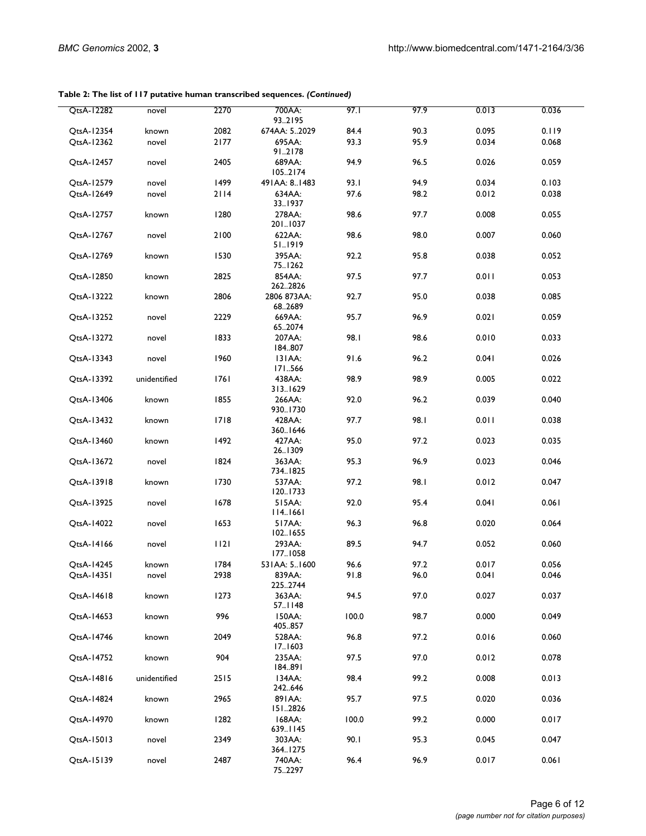| QtsA-12282 | novel        | 2270   | 700AA:<br>932195              | 97.1  | 97.9 | 0.013 | 0.036 |
|------------|--------------|--------|-------------------------------|-------|------|-------|-------|
| QtsA-12354 | known        | 2082   | 674AA: 52029                  | 84.4  | 90.3 | 0.095 | 0.119 |
| QtsA-12362 | novel        | 2177   | 695AA:                        | 93.3  | 95.9 | 0.034 | 0.068 |
| QtsA-12457 | novel        | 2405   | 912178<br>689AA:              | 94.9  | 96.5 | 0.026 | 0.059 |
| QtsA-12579 | novel        | 1499   | 105.2174<br>49   AA: 8.   483 | 93.I  | 94.9 | 0.034 | 0.103 |
|            |              |        |                               |       |      |       |       |
| QtsA-12649 | novel        | $2114$ | 634AA:<br>33.1937             | 97.6  | 98.2 | 0.012 | 0.038 |
| QtsA-12757 | known        | 1280   | 278AA:<br>201.1037            | 98.6  | 97.7 | 0.008 | 0.055 |
| QtsA-12767 | novel        | 2100   | 622AA:<br>51.1919             | 98.6  | 98.0 | 0.007 | 0.060 |
| QtsA-12769 | known        | 1530   | 395AA:<br>75.1262             | 92.2  | 95.8 | 0.038 | 0.052 |
| QtsA-12850 | known        | 2825   | 854AA:<br>2622826             | 97.5  | 97.7 | 0.011 | 0.053 |
| QtsA-13222 | known        | 2806   | 2806 873AA:<br>682689         | 92.7  | 95.0 | 0.038 | 0.085 |
| QtsA-13252 | novel        | 2229   | 669AA:<br>652074              | 95.7  | 96.9 | 0.021 | 0.059 |
| QtsA-13272 | novel        | 1833   | 207AA:<br>184.807             | 98. I | 98.6 | 0.010 | 0.033 |
| QtsA-13343 | novel        | 1960   | $13IAA$ :<br>171566           | 91.6  | 96.2 | 0.041 | 0.026 |
| QtsA-13392 | unidentified | 1761   | 438AA:<br>313.1629            | 98.9  | 98.9 | 0.005 | 0.022 |
| QtsA-13406 | known        | 1855   | 266AA:<br>9301730             | 92.0  | 96.2 | 0.039 | 0.040 |
| QtsA-13432 | known        | 1718   | 428AA:<br>3601646             | 97.7  | 98.I | 0.011 | 0.038 |
| QtsA-13460 | known        | 1492   | 427AA:<br>26.1309             | 95.0  | 97.2 | 0.023 | 0.035 |
| QtsA-13672 | novel        | 1824   | 363AA:<br>7341825             | 95.3  | 96.9 | 0.023 | 0.046 |
| QtsA-13918 | known        | 1730   | 537AA:<br>120.1733            | 97.2  | 98.I | 0.012 | 0.047 |
| QtsA-13925 | novel        | 1678   | 515AA:<br>114.1661            | 92.0  | 95.4 | 0.041 | 0.061 |
| QtsA-14022 | novel        | 1653   | 517AA:<br>1021655             | 96.3  | 96.8 | 0.020 | 0.064 |
| QtsA-14166 | novel        | 1121   | 293AA:<br>177.1058            | 89.5  | 94.7 | 0.052 | 0.060 |
| OtsA-14245 | known        | 1784   | 53 IAA: 5.1600                | 96.6  | 97.2 | 0.017 | 0.056 |
| QtsA-14351 | novel        | 2938   | 839AA:<br>2252744             | 91.8  | 96.0 | 0.041 | 0.046 |
| QtsA-14618 | known        | 1273   | 363AA:<br>57.1148             | 94.5  | 97.0 | 0.027 | 0.037 |
| QtsA-14653 | known        | 996    | 150AA:<br>405857              | 100.0 | 98.7 | 0.000 | 0.049 |
| QtsA-14746 | known        | 2049   | 528AA:<br>17.1603             | 96.8  | 97.2 | 0.016 | 0.060 |
| QtsA-14752 | known        | 904    | 235AA:<br>184891              | 97.5  | 97.0 | 0.012 | 0.078 |
| QtsA-14816 | unidentified | 2515   | I34AA:<br>242646              | 98.4  | 99.2 | 0.008 | 0.013 |
| QtsA-14824 | known        | 2965   | 891AA:<br>1512826             | 95.7  | 97.5 | 0.020 | 0.036 |
| QtsA-14970 | known        | 1282   | 168AA:<br>639.1145            | 100.0 | 99.2 | 0.000 | 0.017 |
| QtsA-15013 | novel        | 2349   | 303AA:<br>364.1275            | 90.1  | 95.3 | 0.045 | 0.047 |
| QtsA-15139 | novel        | 2487   | 740AA:<br>752297              | 96.4  | 96.9 | 0.017 | 0.061 |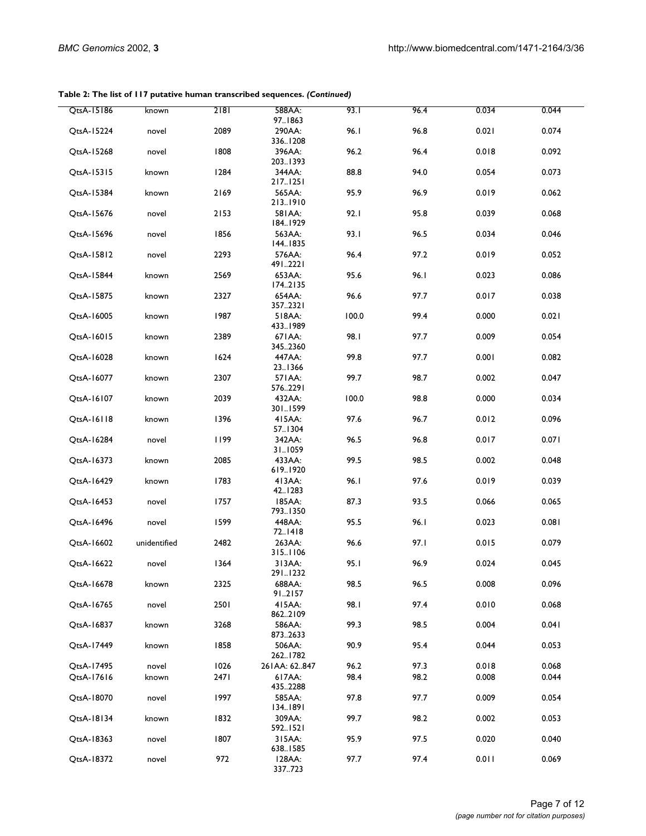**Table 2: The list of 117 putative human transcribed sequences.** *(Continued)*

| QtsA-15186 | known        | 2181 | 588AA:<br>97.1863  | 93.1  | 96.4 | 0.034 | 0.044 |
|------------|--------------|------|--------------------|-------|------|-------|-------|
| QtsA-15224 | novel        | 2089 | 290AA:<br>336.1208 | 96.I  | 96.8 | 0.021 | 0.074 |
| QtsA-15268 | novel        | 1808 | 396AA:<br>203.1393 | 96.2  | 96.4 | 0.018 | 0.092 |
| QtsA-15315 | known        | 1284 | 344AA:<br>217.1251 | 88.8  | 94.0 | 0.054 | 0.073 |
| QtsA-15384 | known        | 2169 | 565AA:<br>213.1910 | 95.9  | 96.9 | 0.019 | 0.062 |
| QtsA-15676 | novel        | 2153 | 581AA:<br>1841929  | 92.1  | 95.8 | 0.039 | 0.068 |
| QtsA-15696 | novel        | 1856 | 563AA:<br>144.1835 | 93.1  | 96.5 | 0.034 | 0.046 |
| QtsA-15812 | novel        | 2293 | 576AA:<br>4912221  | 96.4  | 97.2 | 0.019 | 0.052 |
| QtsA-15844 | known        | 2569 | 653AA:<br>174.2135 | 95.6  | 96.I | 0.023 | 0.086 |
| QtsA-15875 | known        | 2327 | 654AA:<br>3572321  | 96.6  | 97.7 | 0.017 | 0.038 |
| QtsA-16005 | known        | 1987 | 518AA:<br>433.1989 | 100.0 | 99.4 | 0.000 | 0.021 |
| QtsA-16015 | known        | 2389 | 671AA:<br>3452360  | 98.I  | 97.7 | 0.009 | 0.054 |
| QtsA-16028 | known        | 1624 | 447AA:<br>23.1366  | 99.8  | 97.7 | 0.001 | 0.082 |
| OtsA-16077 | known        | 2307 | 571AA:<br>5762291  | 99.7  | 98.7 | 0.002 | 0.047 |
| QtsA-16107 | known        | 2039 | 432AA:<br>301.1599 | 100.0 | 98.8 | 0.000 | 0.034 |
| QtsA-16118 | known        | 1396 | 415AA:<br>57.1304  | 97.6  | 96.7 | 0.012 | 0.096 |
| QtsA-16284 | novel        | 1199 | 342AA:<br>31.1059  | 96.5  | 96.8 | 0.017 | 0.071 |
| QtsA-16373 | known        | 2085 | 433AA:<br>619.1920 | 99.5  | 98.5 | 0.002 | 0.048 |
| QtsA-16429 | known        | 1783 | 413AA:<br>42.1283  | 96.I  | 97.6 | 0.019 | 0.039 |
| QtsA-16453 | novel        | 1757 | 185AA:<br>793.1350 | 87.3  | 93.5 | 0.066 | 0.065 |
| QtsA-16496 | novel        | 1599 | 448AA:<br>72.1418  | 95.5  | 96.I | 0.023 | 0.081 |
| QtsA-16602 | unidentified | 2482 | 263AA:<br>315.1106 | 96.6  | 97.I | 0.015 | 0.079 |
| OtsA-16622 | novel        | 1364 | 313AA:<br>291.1232 | 95.1  | 96.9 | 0.024 | 0.045 |
| QtsA-16678 | known        | 2325 | 688AA:<br>912157   | 98.5  | 96.5 | 0.008 | 0.096 |
| OtsA-16765 | novel        | 2501 | 415AA:<br>8622109  | 98.I  | 97.4 | 0.010 | 0.068 |
| QtsA-16837 | known        | 3268 | 586AA:<br>8732633  | 99.3  | 98.5 | 0.004 | 0.041 |
| OtsA-17449 | known        | 1858 | 506AA:<br>2621782  | 90.9  | 95.4 | 0.044 | 0.053 |
| QtsA-17495 | novel        | 1026 | 261AA: 62847       | 96.2  | 97.3 | 0.018 | 0.068 |
| QtsA-17616 | known        | 2471 | 617AA:<br>4352288  | 98.4  | 98.2 | 0.008 | 0.044 |
| QtsA-18070 | novel        | 1997 | 585AA:<br>134.1891 | 97.8  | 97.7 | 0.009 | 0.054 |
| QtsA-18134 | known        | 1832 | 309AA:<br>5921521  | 99.7  | 98.2 | 0.002 | 0.053 |
| QtsA-18363 | novel        | 1807 | 315AA:<br>638.1585 | 95.9  | 97.5 | 0.020 | 0.040 |
| QtsA-18372 | novel        | 972  | 128AA:<br>337.723  | 97.7  | 97.4 | 0.011 | 0.069 |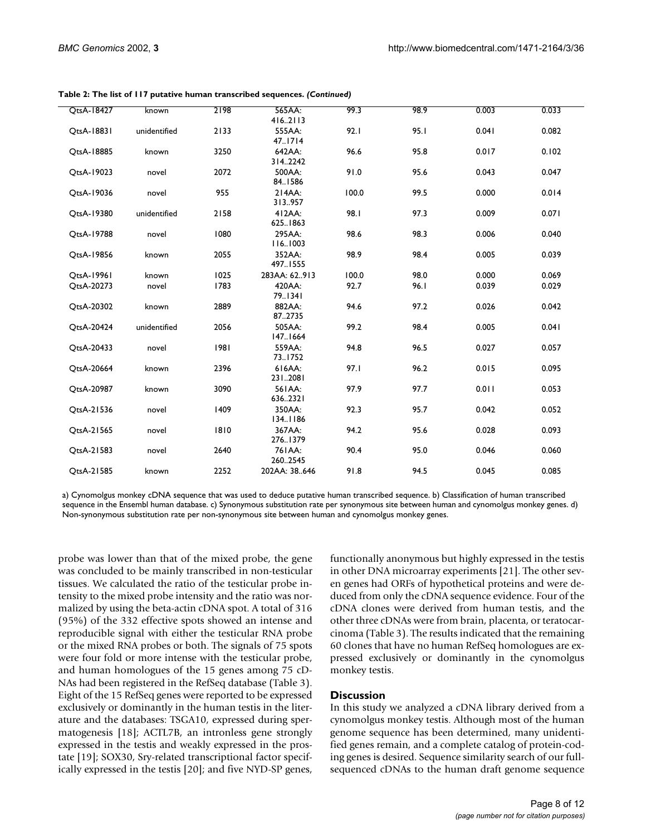| OtsA-18427 | known        | 2198 | 565AA:<br>416.2113 | 99.3  | 98.9 | 0.003 | 0.033 |
|------------|--------------|------|--------------------|-------|------|-------|-------|
| OtsA-18831 | unidentified | 2133 | 555AA:<br>47.1714  | 92.1  | 95.1 | 0.041 | 0.082 |
| OtsA-18885 | known        | 3250 | 642AA:<br>314.2242 | 96.6  | 95.8 | 0.017 | 0.102 |
| OtsA-19023 | novel        | 2072 | 500AA:<br>84.1586  | 91.0  | 95.6 | 0.043 | 0.047 |
| OtsA-19036 | novel        | 955  | 214AA:<br>313.957  | 100.0 | 99.5 | 0.000 | 0.014 |
| OtsA-19380 | unidentified | 2158 | 412AA:<br>625.1863 | 98.I  | 97.3 | 0.009 | 0.071 |
| OtsA-19788 | novel        | 1080 | 295AA:<br>116.1003 | 98.6  | 98.3 | 0.006 | 0.040 |
| QtsA-19856 | known        | 2055 | 352AA:<br>497.1555 | 98.9  | 98.4 | 0.005 | 0.039 |
| OtsA-19961 | known        | 1025 | 283AA: 62.913      | 100.0 | 98.0 | 0.000 | 0.069 |
| OtsA-20273 | novel        | 1783 | 420AA:<br>79.1341  | 92.7  | 96.I | 0.039 | 0.029 |
| OtsA-20302 | known        | 2889 | 882AA:<br>872735   | 94.6  | 97.2 | 0.026 | 0.042 |
| OtsA-20424 | unidentified | 2056 | 505AA:<br>147.1664 | 99.2  | 98.4 | 0.005 | 0.041 |
| OtsA-20433 | novel        | 1981 | 559AA:<br>73.1752  | 94.8  | 96.5 | 0.027 | 0.057 |
| OtsA-20664 | known        | 2396 | 616AA:<br>2312081  | 97.1  | 96.2 | 0.015 | 0.095 |
| OtsA-20987 | known        | 3090 | 561AA:<br>636.2321 | 97.9  | 97.7 | 0.011 | 0.053 |
| OtsA-21536 | novel        | 1409 | 350AA:<br>134.1186 | 92.3  | 95.7 | 0.042 | 0.052 |
| OtsA-21565 | novel        | 1810 | 367AA:<br>276.1379 | 94.2  | 95.6 | 0.028 | 0.093 |
| OtsA-21583 | novel        | 2640 | 761AA:<br>2602545  | 90.4  | 95.0 | 0.046 | 0.060 |
| OtsA-21585 | known        | 2252 | 202AA: 38646       | 91.8  | 94.5 | 0.045 | 0.085 |

**Table 2: The list of 117 putative human transcribed sequences.** *(Continued)*

a) Cynomolgus monkey cDNA sequence that was used to deduce putative human transcribed sequence. b) Classification of human transcribed sequence in the Ensembl human database. c) Synonymous substitution rate per synonymous site between human and cynomolgus monkey genes. d) Non-synonymous substitution rate per non-synonymous site between human and cynomolgus monkey genes.

probe was lower than that of the mixed probe, the gene was concluded to be mainly transcribed in non-testicular tissues. We calculated the ratio of the testicular probe intensity to the mixed probe intensity and the ratio was normalized by using the beta-actin cDNA spot. A total of 316 (95%) of the 332 effective spots showed an intense and reproducible signal with either the testicular RNA probe or the mixed RNA probes or both. The signals of 75 spots were four fold or more intense with the testicular probe, and human homologues of the 15 genes among 75 cD-NAs had been registered in the RefSeq database (Table [3\)](#page-8-0). Eight of the 15 RefSeq genes were reported to be expressed exclusively or dominantly in the human testis in the literature and the databases: TSGA10, expressed during spermatogenesis [18]; ACTL7B, an intronless gene strongly expressed in the testis and weakly expressed in the prostate [19]; SOX30, Sry-related transcriptional factor specifically expressed in the testis [20]; and five NYD-SP genes,

functionally anonymous but highly expressed in the testis in other DNA microarray experiments [21]. The other seven genes had ORFs of hypothetical proteins and were deduced from only the cDNA sequence evidence. Four of the cDNA clones were derived from human testis, and the other three cDNAs were from brain, placenta, or teratocarcinoma (Table [3\)](#page-8-0). The results indicated that the remaining 60 clones that have no human RefSeq homologues are expressed exclusively or dominantly in the cynomolgus monkey testis.

#### **Discussion**

In this study we analyzed a cDNA library derived from a cynomolgus monkey testis. Although most of the human genome sequence has been determined, many unidentified genes remain, and a complete catalog of protein-coding genes is desired. Sequence similarity search of our fullsequenced cDNAs to the human draft genome sequence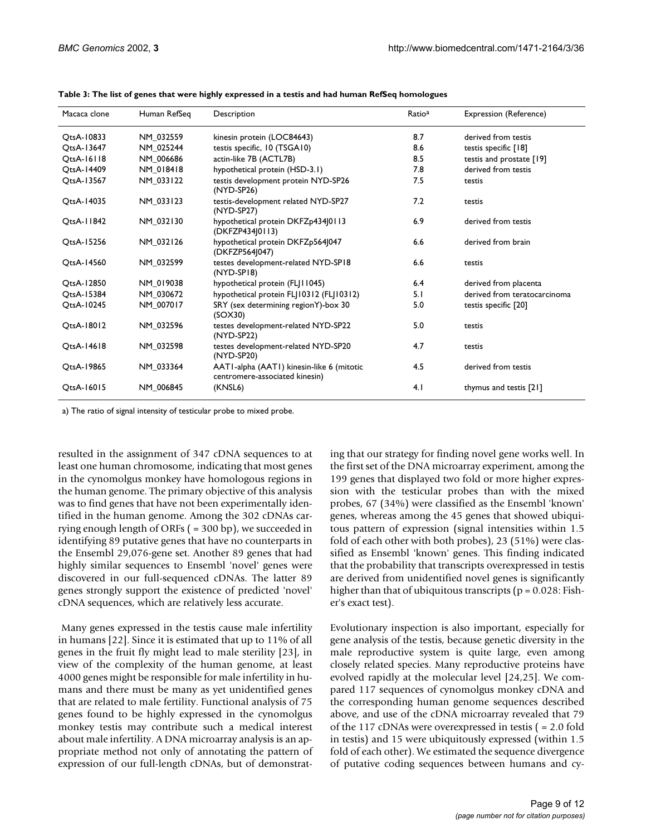| Macaca clone | Human RefSeq | Description                                                                 | Ratio <sup>a</sup> | Expression (Reference)       |
|--------------|--------------|-----------------------------------------------------------------------------|--------------------|------------------------------|
| OtsA-10833   | NM 032559    | kinesin protein (LOC84643)                                                  | 8.7                | derived from testis          |
| OtsA-13647   | NM 025244    | testis specific, 10 (TSGA10)                                                | 8.6                | testis specific [18]         |
| OtsA-16118   | NM 006686    | actin-like 7B (ACTL7B)                                                      | 8.5                | testis and prostate [19]     |
| OtsA-14409   | NM 018418    | hypothetical protein (HSD-3.1)                                              | 7.8                | derived from testis          |
| OtsA-13567   | NM 033122    | testis development protein NYD-SP26<br>$(NYD-SP26)$                         | 7.5                | testis                       |
| QtsA-14035   | NM_033123    | testis-development related NYD-SP27<br>(NYD-SP27)                           | 7.2                | testis                       |
| OtsA-11842   | NM_032130    | hypothetical protein DKFZp434 0113<br>(DKFZP434 0113)                       | 6.9                | derived from testis          |
| OtsA-15256   | NM 032126    | hypothetical protein DKFZp564J047<br>(DKFZP564J047)                         | 6.6                | derived from brain           |
| OtsA-14560   | NM_032599    | testes development-related NYD-SP18<br>$(NYD-SP18)$                         | 6.6                | testis                       |
| OtsA-12850   | NM_019038    | hypothetical protein (FLJ11045)                                             | 6.4                | derived from placenta        |
| OtsA-15384   | NM 030672    | hypothetical protein FL[10312 (FL[10312)                                    | 5.1                | derived from teratocarcinoma |
| OtsA-10245   | NM_007017    | SRY (sex determining regionY)-box 30<br>(SOX30)                             | 5.0                | testis specific [20]         |
| OtsA-18012   | NM 032596    | testes development-related NYD-SP22<br>$(NYD-SP22)$                         | 5.0                | testis                       |
| OtsA-14618   | NM_032598    | testes development-related NYD-SP20<br>(NYD-SP20)                           | 4.7                | testis                       |
| OtsA-19865   | NM_033364    | AATI-alpha (AATI) kinesin-like 6 (mitotic<br>centromere-associated kinesin) | 4.5                | derived from testis          |
| QtsA-16015   | NM 006845    | (KNSL6)                                                                     | 4.1                | thymus and testis [21]       |

<span id="page-8-0"></span>**Table 3: The list of genes that were highly expressed in a testis and had human RefSeq homologues**

a) The ratio of signal intensity of testicular probe to mixed probe.

resulted in the assignment of 347 cDNA sequences to at least one human chromosome, indicating that most genes in the cynomolgus monkey have homologous regions in the human genome. The primary objective of this analysis was to find genes that have not been experimentally identified in the human genome. Among the 302 cDNAs carrying enough length of ORFs ( = 300 bp), we succeeded in identifying 89 putative genes that have no counterparts in the Ensembl 29,076-gene set. Another 89 genes that had highly similar sequences to Ensembl 'novel' genes were discovered in our full-sequenced cDNAs. The latter 89 genes strongly support the existence of predicted 'novel' cDNA sequences, which are relatively less accurate.

 Many genes expressed in the testis cause male infertility in humans [22]. Since it is estimated that up to 11% of all genes in the fruit fly might lead to male sterility [23], in view of the complexity of the human genome, at least 4000 genes might be responsible for male infertility in humans and there must be many as yet unidentified genes that are related to male fertility. Functional analysis of 75 genes found to be highly expressed in the cynomolgus monkey testis may contribute such a medical interest about male infertility. A DNA microarray analysis is an appropriate method not only of annotating the pattern of expression of our full-length cDNAs, but of demonstrating that our strategy for finding novel gene works well. In the first set of the DNA microarray experiment, among the 199 genes that displayed two fold or more higher expression with the testicular probes than with the mixed probes, 67 (34%) were classified as the Ensembl 'known' genes, whereas among the 45 genes that showed ubiquitous pattern of expression (signal intensities within 1.5 fold of each other with both probes), 23 (51%) were classified as Ensembl 'known' genes. This finding indicated that the probability that transcripts overexpressed in testis are derived from unidentified novel genes is significantly higher than that of ubiquitous transcripts ( $p = 0.028$ : Fisher's exact test).

Evolutionary inspection is also important, especially for gene analysis of the testis, because genetic diversity in the male reproductive system is quite large, even among closely related species. Many reproductive proteins have evolved rapidly at the molecular level [24,25]. We compared 117 sequences of cynomolgus monkey cDNA and the corresponding human genome sequences described above, and use of the cDNA microarray revealed that 79 of the 117 cDNAs were overexpressed in testis ( = 2.0 fold in testis) and 15 were ubiquitously expressed (within 1.5 fold of each other). We estimated the sequence divergence of putative coding sequences between humans and cy-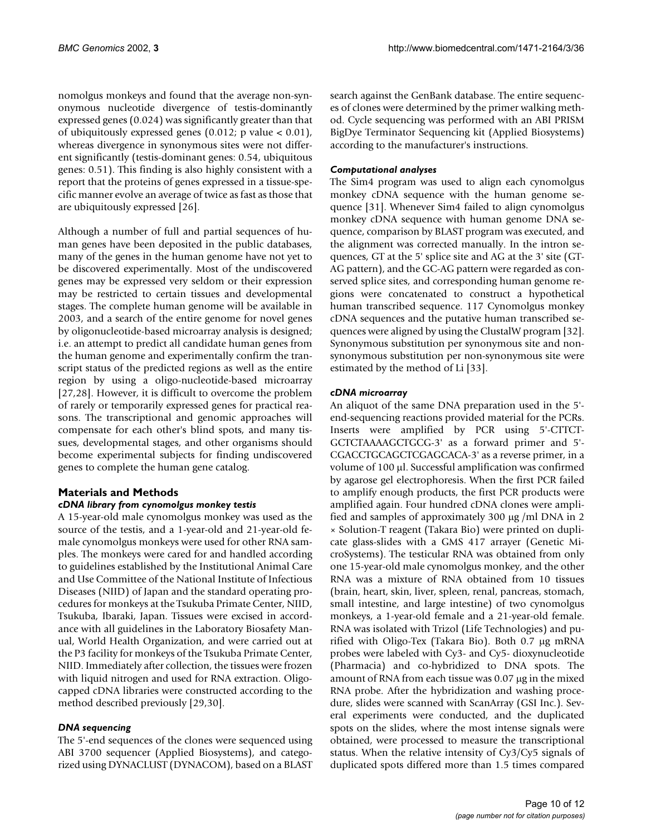nomolgus monkeys and found that the average non-synonymous nucleotide divergence of testis-dominantly expressed genes (0.024) was significantly greater than that of ubiquitously expressed genes (0.012; p value < 0.01), whereas divergence in synonymous sites were not different significantly (testis-dominant genes: 0.54, ubiquitous genes: 0.51). This finding is also highly consistent with a report that the proteins of genes expressed in a tissue-specific manner evolve an average of twice as fast as those that are ubiquitously expressed [26].

Although a number of full and partial sequences of human genes have been deposited in the public databases, many of the genes in the human genome have not yet to be discovered experimentally. Most of the undiscovered genes may be expressed very seldom or their expression may be restricted to certain tissues and developmental stages. The complete human genome will be available in 2003, and a search of the entire genome for novel genes by oligonucleotide-based microarray analysis is designed; i.e. an attempt to predict all candidate human genes from the human genome and experimentally confirm the transcript status of the predicted regions as well as the entire region by using a oligo-nucleotide-based microarray [27,28]. However, it is difficult to overcome the problem of rarely or temporarily expressed genes for practical reasons. The transcriptional and genomic approaches will compensate for each other's blind spots, and many tissues, developmental stages, and other organisms should become experimental subjects for finding undiscovered genes to complete the human gene catalog.

# **Materials and Methods**

#### *cDNA library from cynomolgus monkey testis*

A 15-year-old male cynomolgus monkey was used as the source of the testis, and a 1-year-old and 21-year-old female cynomolgus monkeys were used for other RNA samples. The monkeys were cared for and handled according to guidelines established by the Institutional Animal Care and Use Committee of the National Institute of Infectious Diseases (NIID) of Japan and the standard operating procedures for monkeys at the Tsukuba Primate Center, NIID, Tsukuba, Ibaraki, Japan. Tissues were excised in accordance with all guidelines in the Laboratory Biosafety Manual, World Health Organization, and were carried out at the P3 facility for monkeys of the Tsukuba Primate Center, NIID. Immediately after collection, the tissues were frozen with liquid nitrogen and used for RNA extraction. Oligocapped cDNA libraries were constructed according to the method described previously [29,30].

#### *DNA sequencing*

The 5'-end sequences of the clones were sequenced using ABI 3700 sequencer (Applied Biosystems), and categorized using DYNACLUST (DYNACOM), based on a BLAST search against the GenBank database. The entire sequences of clones were determined by the primer walking method. Cycle sequencing was performed with an ABI PRISM BigDye Terminator Sequencing kit (Applied Biosystems) according to the manufacturer's instructions.

#### *Computational analyses*

The Sim4 program was used to align each cynomolgus monkey cDNA sequence with the human genome sequence [31]. Whenever Sim4 failed to align cynomolgus monkey cDNA sequence with human genome DNA sequence, comparison by BLAST program was executed, and the alignment was corrected manually. In the intron sequences, GT at the 5' splice site and AG at the 3' site (GT-AG pattern), and the GC-AG pattern were regarded as conserved splice sites, and corresponding human genome regions were concatenated to construct a hypothetical human transcribed sequence. 117 Cynomolgus monkey cDNA sequences and the putative human transcribed sequences were aligned by using the ClustalW program [32]. Synonymous substitution per synonymous site and nonsynonymous substitution per non-synonymous site were estimated by the method of Li [33].

### *cDNA microarray*

An aliquot of the same DNA preparation used in the 5' end-sequencing reactions provided material for the PCRs. Inserts were amplified by PCR using 5'-CTTCT-GCTCTAAAAGCTGCG-3' as a forward primer and 5'- CGACCTGCAGCTCGAGCACA-3' as a reverse primer, in a volume of 100 µl. Successful amplification was confirmed by agarose gel electrophoresis. When the first PCR failed to amplify enough products, the first PCR products were amplified again. Four hundred cDNA clones were amplified and samples of approximately 300 µg /ml DNA in 2 × Solution-T reagent (Takara Bio) were printed on duplicate glass-slides with a GMS 417 arrayer (Genetic MicroSystems). The testicular RNA was obtained from only one 15-year-old male cynomolgus monkey, and the other RNA was a mixture of RNA obtained from 10 tissues (brain, heart, skin, liver, spleen, renal, pancreas, stomach, small intestine, and large intestine) of two cynomolgus monkeys, a 1-year-old female and a 21-year-old female. RNA was isolated with Trizol (Life Technologies) and purified with Oligo-Tex (Takara Bio). Both 0.7 µg mRNA probes were labeled with Cy3- and Cy5- dioxynucleotide (Pharmacia) and co-hybridized to DNA spots. The amount of RNA from each tissue was 0.07 µg in the mixed RNA probe. After the hybridization and washing procedure, slides were scanned with ScanArray (GSI Inc.). Several experiments were conducted, and the duplicated spots on the slides, where the most intense signals were obtained, were processed to measure the transcriptional status. When the relative intensity of Cy3/Cy5 signals of duplicated spots differed more than 1.5 times compared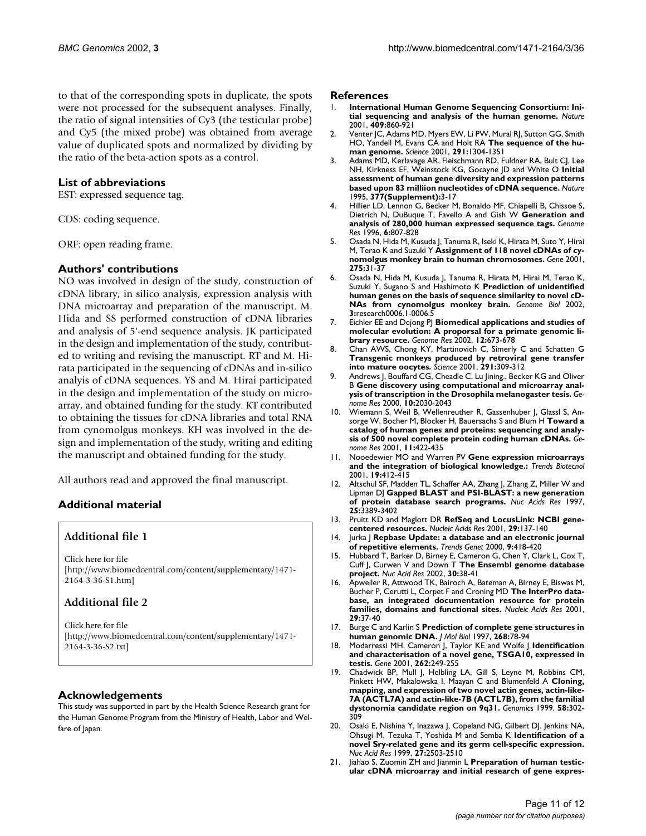to that of the corresponding spots in duplicate, the spots were not processed for the subsequent analyses. Finally, the ratio of signal intensities of Cy3 (the testicular probe) and Cy5 (the mixed probe) was obtained from average value of duplicated spots and normalized by dividing by the ratio of the beta-action spots as a control.

#### **List of abbreviations**

EST: expressed sequence tag.

CDS: coding sequence.

ORF: open reading frame.

#### **Authors' contributions**

NO was involved in design of the study, construction of cDNA library, in silico analysis, expression analysis with DNA microarray and preparation of the manuscript. M. Hida and SS performed construction of cDNA libraries and analysis of 5'-end sequence analysis. JK participated in the design and implementation of the study, contributed to writing and revising the manuscript. RT and M. Hirata participated in the sequencing of cDNAs and in-silico analyis of cDNA sequences. YS and M. Hirai participated in the design and implementation of the study on microarray, and obtained funding for the study. KT contributed to obtaining the tissues for cDNA libraries and total RNA from cynomolgus monkeys. KH was involved in the design and implementation of the study, writing and editing the manuscript and obtained funding for the study.

All authors read and approved the final manuscript.

# **Additional material**

**Additional file 1**

Click here for file [\[http://www.biomedcentral.com/content/supplementary/1471-](http://www.biomedcentral.com/content/supplementary/1471-2164-3-36-S1.htm) 2164-3-36-S1.htm]

# **Additional file 2**

Click here for file [\[http://www.biomedcentral.com/content/supplementary/1471-](http://www.biomedcentral.com/content/supplementary/1471-2164-3-36-S2.txt) 2164-3-36-S2.txt]

#### **Acknowledgements**

This study was supported in part by the Health Science Research grant for the Human Genome Program from the Ministry of Health, Labor and Welfare of Japan.

#### **References**

- <span id="page-10-0"></span>1. **[International Human Genome Sequencing Consortium: Ini](http://www.ncbi.nlm.nih.gov/entrez/query.fcgi?cmd=Retrieve&db=PubMed&dopt=Abstract&list_uids=10.1038/35057062)[tial sequencing and analysis of the human genome.](http://www.ncbi.nlm.nih.gov/entrez/query.fcgi?cmd=Retrieve&db=PubMed&dopt=Abstract&list_uids=10.1038/35057062)** *Nature* 2001, **409:**860-921
- 2. Venter JC, Adams MD, Myers EW, Li PW, Mural RJ, Sutton GG, Smith HO, Yandell M, Evans CA and Holt RA **[The sequence of the hu](http://www.ncbi.nlm.nih.gov/entrez/query.fcgi?cmd=Retrieve&db=PubMed&dopt=Abstract&list_uids=10.1126/science.1058040)[man genome.](http://www.ncbi.nlm.nih.gov/entrez/query.fcgi?cmd=Retrieve&db=PubMed&dopt=Abstract&list_uids=10.1126/science.1058040)** *Science* 2001, **291:**1304-1351
- 3. Adams MD, Kerlavage AR, Fleischmann RD, Fuldner RA, Bult CJ, Lee NH, Kirkness EF, Weinstock KG, Gocayne JD and White O **[Initial](http://www.ncbi.nlm.nih.gov/entrez/query.fcgi?cmd=Retrieve&db=PubMed&dopt=Abstract&list_uids=7566098) [assessment of human gene diversity and expression patterns](http://www.ncbi.nlm.nih.gov/entrez/query.fcgi?cmd=Retrieve&db=PubMed&dopt=Abstract&list_uids=7566098) [based upon 83 milliion nucleotides of cDNA sequence.](http://www.ncbi.nlm.nih.gov/entrez/query.fcgi?cmd=Retrieve&db=PubMed&dopt=Abstract&list_uids=7566098)** *Nature* 1995, **377(Supplement):**3-17
- 4. Hillier LD, Lennon G, Becker M, Bonaldo MF, Chiapelli B, Chissoe S, Dietrich N, DuBuque T, Favello A and Gish W **[Generation and](http://www.ncbi.nlm.nih.gov/entrez/query.fcgi?cmd=Retrieve&db=PubMed&dopt=Abstract&list_uids=8889549) [analysis of 280,000 human expressed sequence tags.](http://www.ncbi.nlm.nih.gov/entrez/query.fcgi?cmd=Retrieve&db=PubMed&dopt=Abstract&list_uids=8889549)** *Genome Res* 1996, **6:**807-828
- 5. Osada N, Hida M, Kusuda J, Tanuma R, Iseki K, Hirata M, Suto Y, Hirai M, Terao K and Suzuki Y **[Assignment of 118 novel cDNAs of cy](http://www.ncbi.nlm.nih.gov/entrez/query.fcgi?cmd=Retrieve&db=PubMed&dopt=Abstract&list_uids=10.1016/S0378-1119(01)00665-5)[nomolgus monkey brain to human chromosomes.](http://www.ncbi.nlm.nih.gov/entrez/query.fcgi?cmd=Retrieve&db=PubMed&dopt=Abstract&list_uids=10.1016/S0378-1119(01)00665-5)** *Gene* 2001, **275:**31-37
- 6. Osada N, Hida M, Kusuda J, Tanuma R, Hirata M, Hirai M, Terao K, Suzuki Y, Sugano S and Hashimoto K **[Prediction of unidentified](http://www.ncbi.nlm.nih.gov/entrez/query.fcgi?cmd=Retrieve&db=PubMed&dopt=Abstract&list_uids=10.1186/gb-2001-3-1-research0006) [human genes on the basis of sequence similarity to novel cD-](http://www.ncbi.nlm.nih.gov/entrez/query.fcgi?cmd=Retrieve&db=PubMed&dopt=Abstract&list_uids=10.1186/gb-2001-3-1-research0006)[NAs from cynomolgus monkey brain.](http://www.ncbi.nlm.nih.gov/entrez/query.fcgi?cmd=Retrieve&db=PubMed&dopt=Abstract&list_uids=10.1186/gb-2001-3-1-research0006)** *Genome Biol* 2002, **3:**research0006.1-0006.5
- 7. Eichler EE and Dejong PJ **[Biomedical applications and studies of](http://www.ncbi.nlm.nih.gov/entrez/query.fcgi?cmd=Retrieve&db=PubMed&dopt=Abstract&list_uids=10.1101/gr.250102) [molecular evolution: A proporsal for a primate genomic li](http://www.ncbi.nlm.nih.gov/entrez/query.fcgi?cmd=Retrieve&db=PubMed&dopt=Abstract&list_uids=10.1101/gr.250102)[brary resource.](http://www.ncbi.nlm.nih.gov/entrez/query.fcgi?cmd=Retrieve&db=PubMed&dopt=Abstract&list_uids=10.1101/gr.250102)** *Genome Res* 2002, **12:**673-678
- 8. Chan AWS, Chong KY, Martinovich C, Simerly C and Schatten G **[Transgenic monkeys produced by retroviral gene transfer](http://www.ncbi.nlm.nih.gov/entrez/query.fcgi?cmd=Retrieve&db=PubMed&dopt=Abstract&list_uids=10.1126/science.291.5502.309) [into mature oocytes.](http://www.ncbi.nlm.nih.gov/entrez/query.fcgi?cmd=Retrieve&db=PubMed&dopt=Abstract&list_uids=10.1126/science.291.5502.309)** *Science* 2001, **291:**309-312
- 9. Andrews J, Bouffard CG, Cheadle C, Lu Jining., Becker KG and Oliver B **[Gene discovery using computational and microarray anal](http://www.ncbi.nlm.nih.gov/entrez/query.fcgi?cmd=Retrieve&db=PubMed&dopt=Abstract&list_uids=10.1101/gr.10.12.2030)[ysis of transcription in the Drosophila melanogaster tesis.](http://www.ncbi.nlm.nih.gov/entrez/query.fcgi?cmd=Retrieve&db=PubMed&dopt=Abstract&list_uids=10.1101/gr.10.12.2030)** *Genome Res* 2000, **10:**2030-2043
- 10. Wiemann S, Weil B, Wellenreuther R, Gassenhuber J, Glassl S, Ansorge W, Bocher M, Blocker H, Bauersachs S and Blum H **[Toward a](http://www.ncbi.nlm.nih.gov/entrez/query.fcgi?cmd=Retrieve&db=PubMed&dopt=Abstract&list_uids=10.1101/gr.GR1547R) [catalog of human genes and proteins: sequencing and analy](http://www.ncbi.nlm.nih.gov/entrez/query.fcgi?cmd=Retrieve&db=PubMed&dopt=Abstract&list_uids=10.1101/gr.GR1547R)[sis of 500 novel complete protein coding human cDNAs.](http://www.ncbi.nlm.nih.gov/entrez/query.fcgi?cmd=Retrieve&db=PubMed&dopt=Abstract&list_uids=10.1101/gr.GR1547R)** *Genome Res* 2001, **11:**422-435
- 11. Nooedewier MO and Warren PV **[Gene expression microarrays](http://www.ncbi.nlm.nih.gov/entrez/query.fcgi?cmd=Retrieve&db=PubMed&dopt=Abstract&list_uids=10.1016/S0167-7799(01)01735-8) [and the integration of biological knowledge.:](http://www.ncbi.nlm.nih.gov/entrez/query.fcgi?cmd=Retrieve&db=PubMed&dopt=Abstract&list_uids=10.1016/S0167-7799(01)01735-8)** *Trends Biotecnol* 2001, **19:**412-415
- 12. Altschul SF, Madden TL, Schaffer AA, Zhang J, Zhang Z, Miller W and Lipman DJ **[Gapped BLAST and PSI-BLAST: a new generation](http://www.ncbi.nlm.nih.gov/entrez/query.fcgi?cmd=Retrieve&db=PubMed&dopt=Abstract&list_uids=10.1093/nar/25.17.3389) [of protein database search programs.](http://www.ncbi.nlm.nih.gov/entrez/query.fcgi?cmd=Retrieve&db=PubMed&dopt=Abstract&list_uids=10.1093/nar/25.17.3389)** *Nuc Acids Res* 1997, **25:**3389-3402
- 13. Pruitt KD and Maglott DR **[RefSeq and LocusLink: NCBI gene](http://www.ncbi.nlm.nih.gov/entrez/query.fcgi?cmd=Retrieve&db=PubMed&dopt=Abstract&list_uids=29787)[centered resources.](http://www.ncbi.nlm.nih.gov/entrez/query.fcgi?cmd=Retrieve&db=PubMed&dopt=Abstract&list_uids=29787)** *Nucleic Acids Res* 2001, **29:**137-140
- 14. Jurka J **[Repbase Update: a database and an electronic journal](http://www.ncbi.nlm.nih.gov/entrez/query.fcgi?cmd=Retrieve&db=PubMed&dopt=Abstract&list_uids=10.1016/S0168-9525(00)02093-X) [of repetitive elements.](http://www.ncbi.nlm.nih.gov/entrez/query.fcgi?cmd=Retrieve&db=PubMed&dopt=Abstract&list_uids=10.1016/S0168-9525(00)02093-X)** *Trends Genet* 2000, **9:**418-420
- 15. Hubbard T, Barker D, Birney E, Cameron G, Chen Y, Clark L, Cox T, Cuff J, Curwen V and Down T **[The Ensembl genome database](http://www.ncbi.nlm.nih.gov/entrez/query.fcgi?cmd=Retrieve&db=PubMed&dopt=Abstract&list_uids=10.1093/nar/30.1.38) [project.](http://www.ncbi.nlm.nih.gov/entrez/query.fcgi?cmd=Retrieve&db=PubMed&dopt=Abstract&list_uids=10.1093/nar/30.1.38)** *Nuc Acid Res* 2002, **30:**38-41
- 16. Apweiler R, Attwood TK, Bairoch A, Bateman A, Birney E, Biswas M, Bucher P, Cerutti L, Corpet F and Croning MD **[The InterPro data](http://www.ncbi.nlm.nih.gov/entrez/query.fcgi?cmd=Retrieve&db=PubMed&dopt=Abstract&list_uids=29841)[base, an integrated documentation resource for protein](http://www.ncbi.nlm.nih.gov/entrez/query.fcgi?cmd=Retrieve&db=PubMed&dopt=Abstract&list_uids=29841) [families, domains and functional sites.](http://www.ncbi.nlm.nih.gov/entrez/query.fcgi?cmd=Retrieve&db=PubMed&dopt=Abstract&list_uids=29841)** *Nucleic Acids Res* 2001, **29:**37-40
- 17. Burge C and Karlin S **[Prediction of complete gene structures in](http://www.ncbi.nlm.nih.gov/entrez/query.fcgi?cmd=Retrieve&db=PubMed&dopt=Abstract&list_uids=10.1006/jmbi.1997.0951) [human genomic DNA.](http://www.ncbi.nlm.nih.gov/entrez/query.fcgi?cmd=Retrieve&db=PubMed&dopt=Abstract&list_uids=10.1006/jmbi.1997.0951)** *J Mol Biol* 1997, **268:**78-94
- 18. Modarressi MH, Cameron J, Taylor KE and Wolfe J **[Identification](http://www.ncbi.nlm.nih.gov/entrez/query.fcgi?cmd=Retrieve&db=PubMed&dopt=Abstract&list_uids=10.1016/S0378-1119(00)00519-9) [and characterisation of a novel gene, TSGA10, expressed in](http://www.ncbi.nlm.nih.gov/entrez/query.fcgi?cmd=Retrieve&db=PubMed&dopt=Abstract&list_uids=10.1016/S0378-1119(00)00519-9) [testis.](http://www.ncbi.nlm.nih.gov/entrez/query.fcgi?cmd=Retrieve&db=PubMed&dopt=Abstract&list_uids=10.1016/S0378-1119(00)00519-9)** *Gene* 2001, **262:**249-255
- 19. Chadwick BP, Mull J, Helbling LA, Gill S, Leyne M, Robbins CM, Pinkett HW, Makalowska I, Maayan C and Blumenfeld A **[Cloning,](http://www.ncbi.nlm.nih.gov/entrez/query.fcgi?cmd=Retrieve&db=PubMed&dopt=Abstract&list_uids=10.1006/geno.1999.5848) [mapping, and expression of two novel actin genes, actin-like-](http://www.ncbi.nlm.nih.gov/entrez/query.fcgi?cmd=Retrieve&db=PubMed&dopt=Abstract&list_uids=10.1006/geno.1999.5848)7A (ACTL7A) and actin-like-7B (ACTL7B), from the familial [dystonomia candidate region on 9q31.](http://www.ncbi.nlm.nih.gov/entrez/query.fcgi?cmd=Retrieve&db=PubMed&dopt=Abstract&list_uids=10.1006/geno.1999.5848)** *Genomics* 1999, **58:**302- 309
- 20. Osaki E, Nishina Y, Inazawa J, Copeland NG, Gilbert DJ, Jenkins NA, Ohsugi M, Tezuka T, Yoshida M and Semba K **[Identification of a](http://www.ncbi.nlm.nih.gov/entrez/query.fcgi?cmd=Retrieve&db=PubMed&dopt=Abstract&list_uids=10.1093/nar/27.12.2503) [novel Sry-related gene and its germ cell-specific expression.](http://www.ncbi.nlm.nih.gov/entrez/query.fcgi?cmd=Retrieve&db=PubMed&dopt=Abstract&list_uids=10.1093/nar/27.12.2503)** *Nuc Acid Res* 1999, **27:**2503-2510
- 21. Jiahao S, Zuomin ZH and Jianmin L **Preparation of human testicular cDNA microarray and initial research of gene expres-**